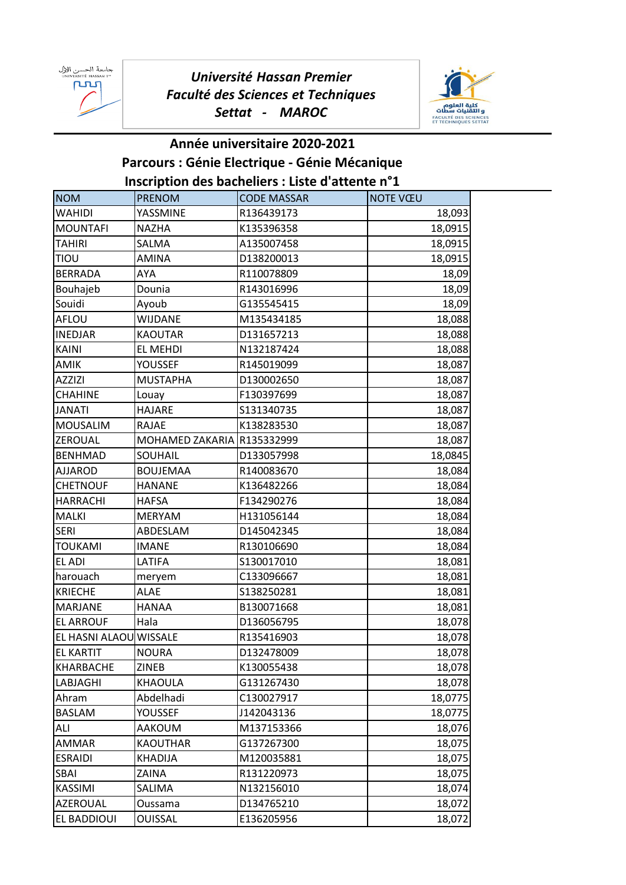جامعة الحسن الإل<br>™ UNIVERSITÉ HASSAN ᢆᠾᡅ



## **Inscription des bacheliers : Liste d'attente n°1 Parcours : Génie Electrique - Génie Mécanique Année universitaire 2020-2021**

|                        |                            | $\frac{1}{2}$ is priori desidenciers. Liste d'attente il $\pm$ |                 |
|------------------------|----------------------------|----------------------------------------------------------------|-----------------|
| <b>NOM</b>             | <b>PRENOM</b>              | <b>CODE MASSAR</b>                                             | <b>NOTE VŒU</b> |
| <b>WAHIDI</b>          | YASSMINE                   | R136439173                                                     | 18,093          |
| <b>MOUNTAFI</b>        | <b>NAZHA</b>               | K135396358                                                     | 18,0915         |
| <b>TAHIRI</b>          | <b>SALMA</b>               | A135007458                                                     | 18,0915         |
| TIOU                   | <b>AMINA</b>               | D138200013                                                     | 18,0915         |
| <b>BERRADA</b>         | AYA                        | R110078809                                                     | 18,09           |
| Bouhajeb               | Dounia                     | R143016996                                                     | 18,09           |
| Souidi                 | Ayoub                      | G135545415                                                     | 18,09           |
| AFLOU                  | WIJDANE                    | M135434185                                                     | 18,088          |
| <b>INEDJAR</b>         | <b>KAOUTAR</b>             | D131657213                                                     | 18,088          |
| <b>KAINI</b>           | EL MEHDI                   | N132187424                                                     | 18,088          |
| AMIK                   | YOUSSEF                    | R145019099                                                     | 18,087          |
| <b>AZZIZI</b>          | <b>MUSTAPHA</b>            | D130002650                                                     | 18,087          |
| <b>CHAHINE</b>         | Louay                      | F130397699                                                     | 18,087          |
| <b>JANATI</b>          | HAJARE                     | S131340735                                                     | 18,087          |
| <b>MOUSALIM</b>        | RAJAE                      | K138283530                                                     | 18,087          |
| ZEROUAL                | MOHAMED ZAKARIA R135332999 |                                                                | 18,087          |
| <b>BENHMAD</b>         | SOUHAIL                    | D133057998                                                     | 18,0845         |
| <b>AJJAROD</b>         | <b>BOUJEMAA</b>            | R140083670                                                     | 18,084          |
| <b>CHETNOUF</b>        | <b>HANANE</b>              | K136482266                                                     | 18,084          |
| <b>HARRACHI</b>        | <b>HAFSA</b>               | F134290276                                                     | 18,084          |
| <b>MALKI</b>           | <b>MERYAM</b>              | H131056144                                                     | 18,084          |
| <b>SERI</b>            | ABDESLAM                   | D145042345                                                     | 18,084          |
| <b>TOUKAMI</b>         | <b>IMANE</b>               | R130106690                                                     | 18,084          |
| EL ADI                 | LATIFA                     | S130017010                                                     | 18,081          |
| harouach               | meryem                     | C133096667                                                     | 18,081          |
| <b>KRIECHE</b>         | <b>ALAE</b>                | S138250281                                                     | 18,081          |
| <b>MARJANE</b>         | HANAA                      | B130071668                                                     | 18,081          |
| <b>EL ARROUF</b>       | Hala                       | D136056795                                                     | 18,078          |
| EL HASNI ALAOU WISSALE |                            | R135416903                                                     | 18,078          |
| EL KARTIT              | <b>NOURA</b>               | D132478009                                                     | 18,078          |
| KHARBACHE              | ZINEB                      | K130055438                                                     | 18,078          |
| LABJAGHI               | KHAOULA                    | G131267430                                                     | 18,078          |
| Ahram                  | Abdelhadi                  | C130027917                                                     | 18,0775         |
| <b>BASLAM</b>          | YOUSSEF                    | J142043136                                                     | 18,0775         |
| ALI                    | AAKOUM                     | M137153366                                                     | 18,076          |
| <b>AMMAR</b>           | <b>KAOUTHAR</b>            | G137267300                                                     | 18,075          |
| <b>ESRAIDI</b>         | KHADIJA                    | M120035881                                                     | 18,075          |
| SBAI                   | ZAINA                      | R131220973                                                     | 18,075          |
| <b>KASSIMI</b>         | SALIMA                     | N132156010                                                     | 18,074          |
| AZEROUAL               | Oussama                    | D134765210                                                     | 18,072          |
| EL BADDIOUI            | <b>OUISSAL</b>             | E136205956                                                     | 18,072          |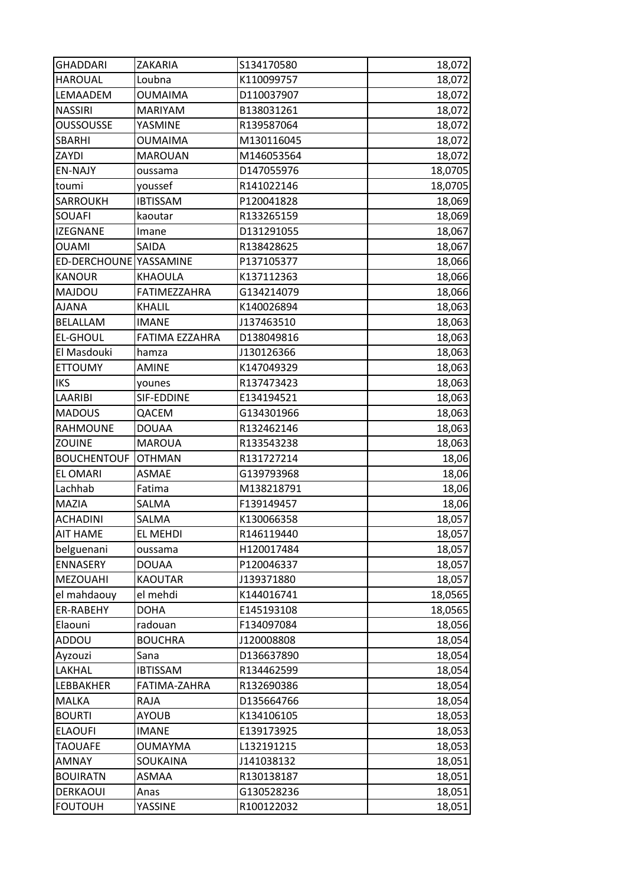| <b>GHADDARI</b>        | ZAKARIA         | S134170580 | 18,072  |
|------------------------|-----------------|------------|---------|
| <b>HAROUAL</b>         | Loubna          | K110099757 | 18,072  |
| LEMAADEM               | <b>OUMAIMA</b>  | D110037907 | 18,072  |
| <b>NASSIRI</b>         | <b>MARIYAM</b>  | B138031261 | 18,072  |
| <b>OUSSOUSSE</b>       | YASMINE         | R139587064 | 18,072  |
| SBARHI                 | <b>OUMAIMA</b>  | M130116045 | 18,072  |
| ZAYDI                  | <b>MAROUAN</b>  | M146053564 | 18,072  |
| <b>EN-NAJY</b>         | oussama         | D147055976 | 18,0705 |
| toumi                  | youssef         | R141022146 | 18,0705 |
| <b>SARROUKH</b>        | <b>IBTISSAM</b> | P120041828 | 18,069  |
| SOUAFI                 | kaoutar         | R133265159 | 18,069  |
| <b>IZEGNANE</b>        | Imane           | D131291055 | 18,067  |
| <b>OUAMI</b>           | SAIDA           | R138428625 | 18,067  |
| ED-DERCHOUNE YASSAMINE |                 | P137105377 | 18,066  |
| <b>KANOUR</b>          | KHAOULA         | K137112363 | 18,066  |
| MAJDOU                 | FATIMEZZAHRA    | G134214079 | 18,066  |
| <b>AJANA</b>           | <b>KHALIL</b>   | K140026894 | 18,063  |
| BELALLAM               | <b>IMANE</b>    | J137463510 | 18,063  |
| <b>EL-GHOUL</b>        | FATIMA EZZAHRA  | D138049816 | 18,063  |
| El Masdouki            | hamza           | J130126366 | 18,063  |
| <b>ETTOUMY</b>         | <b>AMINE</b>    | K147049329 | 18,063  |
| <b>IKS</b>             | younes          | R137473423 | 18,063  |
| LAARIBI                | SIF-EDDINE      | E134194521 | 18,063  |
| <b>MADOUS</b>          | QACEM           | G134301966 | 18,063  |
| <b>RAHMOUNE</b>        | <b>DOUAA</b>    | R132462146 | 18,063  |
| ZOUINE                 | <b>MAROUA</b>   | R133543238 | 18,063  |
| <b>BOUCHENTOUF</b>     | <b>OTHMAN</b>   | R131727214 | 18,06   |
| <b>EL OMARI</b>        | <b>ASMAE</b>    | G139793968 | 18,06   |
| Lachhab                | Fatima          | M138218791 | 18,06   |
| MAZIA                  | SALMA           | F139149457 | 18,06   |
| <b>ACHADINI</b>        | SALMA           | K130066358 | 18,057  |
| <b>AIT HAME</b>        | EL MEHDI        | R146119440 | 18,057  |
| belguenani             | oussama         | H120017484 | 18,057  |
| ENNASERY               | <b>DOUAA</b>    | P120046337 | 18,057  |
| <b>MEZOUAHI</b>        | <b>KAOUTAR</b>  | J139371880 | 18,057  |
| el mahdaouy            | el mehdi        | K144016741 | 18,0565 |
| ER-RABEHY              | <b>DOHA</b>     | E145193108 | 18,0565 |
| Elaouni                | radouan         | F134097084 | 18,056  |
| ADDOU                  | <b>BOUCHRA</b>  | J120008808 | 18,054  |
| Ayzouzi                | Sana            | D136637890 | 18,054  |
| LAKHAL                 | <b>IBTISSAM</b> | R134462599 | 18,054  |
| LEBBAKHER              | FATIMA-ZAHRA    | R132690386 | 18,054  |
| <b>MALKA</b>           | RAJA            | D135664766 | 18,054  |
| <b>BOURTI</b>          | <b>AYOUB</b>    | K134106105 | 18,053  |
| <b>ELAOUFI</b>         | <b>IMANE</b>    | E139173925 | 18,053  |
| <b>TAOUAFE</b>         | <b>OUMAYMA</b>  | L132191215 | 18,053  |
| <b>AMNAY</b>           |                 | J141038132 | 18,051  |
|                        | SOUKAINA        |            |         |
| <b>BOUIRATN</b>        | ASMAA           | R130138187 | 18,051  |
| DERKAOUI               | Anas            | G130528236 | 18,051  |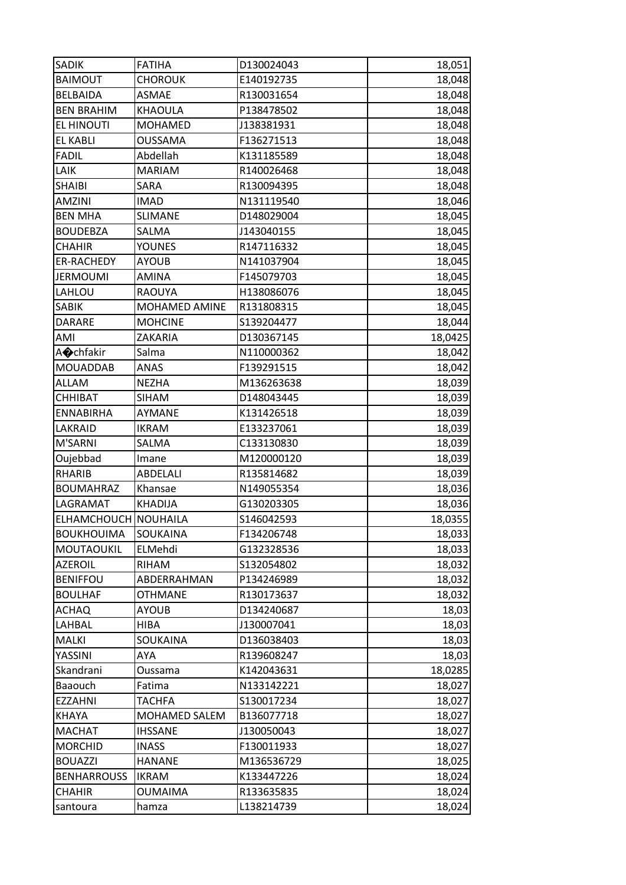| <b>SADIK</b>         | <b>FATIHA</b>  | D130024043 | 18,051  |
|----------------------|----------------|------------|---------|
| <b>BAIMOUT</b>       | <b>CHOROUK</b> | E140192735 | 18,048  |
| <b>BELBAIDA</b>      | <b>ASMAE</b>   | R130031654 | 18,048  |
| <b>BEN BRAHIM</b>    | KHAOULA        | P138478502 | 18,048  |
| EL HINOUTI           | <b>MOHAMED</b> | J138381931 | 18,048  |
| <b>EL KABLI</b>      | <b>OUSSAMA</b> | F136271513 | 18,048  |
| <b>FADIL</b>         | Abdellah       | K131185589 | 18,048  |
| LAIK                 | <b>MARIAM</b>  | R140026468 | 18,048  |
| <b>SHAIBI</b>        | SARA           | R130094395 | 18,048  |
| <b>AMZINI</b>        | <b>IMAD</b>    | N131119540 | 18,046  |
| <b>BEN MHA</b>       | SLIMANE        | D148029004 | 18,045  |
| <b>BOUDEBZA</b>      | SALMA          | J143040155 | 18,045  |
| <b>CHAHIR</b>        | <b>YOUNES</b>  | R147116332 | 18,045  |
| ER-RACHEDY           | <b>AYOUB</b>   | N141037904 | 18,045  |
| <b>JERMOUMI</b>      | AMINA          | F145079703 | 18,045  |
| LAHLOU               | <b>RAOUYA</b>  | H138086076 | 18,045  |
| SABIK                | MOHAMED AMINE  | R131808315 | 18,045  |
| <b>DARARE</b>        | <b>MOHCINE</b> | S139204477 | 18,044  |
| AMI                  | ZAKARIA        | D130367145 | 18,0425 |
| A <b></b> chfakir    | Salma          | N110000362 | 18,042  |
| <b>MOUADDAB</b>      | ANAS           | F139291515 | 18,042  |
| ALLAM                | <b>NEZHA</b>   | M136263638 | 18,039  |
| <b>CHHIBAT</b>       | <b>SIHAM</b>   | D148043445 | 18,039  |
| <b>ENNABIRHA</b>     | AYMANE         | K131426518 | 18,039  |
| LAKRAID              | IKRAM          | E133237061 | 18,039  |
| M'SARNI              | SALMA          | C133130830 | 18,039  |
| Oujebbad             | Imane          | M120000120 | 18,039  |
| RHARIB               | ABDELALI       | R135814682 | 18,039  |
| <b>BOUMAHRAZ</b>     | Khansae        | N149055354 | 18,036  |
| LAGRAMAT             | <b>KHADIJA</b> | G130203305 | 18,036  |
| ELHAMCHOUCH NOUHAILA |                | S146042593 | 18,0355 |
| <b>BOUKHOUIMA</b>    | SOUKAINA       | F134206748 | 18,033  |
| MOUTAOUKIL           | ELMehdi        | G132328536 | 18,033  |
| <b>AZEROIL</b>       | RIHAM          | S132054802 | 18,032  |
| <b>BENIFFOU</b>      | ABDERRAHMAN    | P134246989 | 18,032  |
| <b>BOULHAF</b>       | <b>OTHMANE</b> | R130173637 | 18,032  |
| <b>ACHAQ</b>         | <b>AYOUB</b>   | D134240687 | 18,03   |
| LAHBAL               | HIBA           | J130007041 | 18,03   |
| <b>MALKI</b>         | SOUKAINA       | D136038403 | 18,03   |
| YASSINI              | <b>AYA</b>     | R139608247 | 18,03   |
| Skandrani            | Oussama        | K142043631 | 18,0285 |
| Baaouch              | Fatima         | N133142221 | 18,027  |
| <b>EZZAHNI</b>       | TACHFA         | S130017234 | 18,027  |
| <b>KHAYA</b>         | MOHAMED SALEM  | B136077718 | 18,027  |
| <b>MACHAT</b>        | <b>IHSSANE</b> | J130050043 | 18,027  |
| <b>MORCHID</b>       | <b>INASS</b>   | F130011933 | 18,027  |
| <b>BOUAZZI</b>       | <b>HANANE</b>  | M136536729 | 18,025  |
| <b>BENHARROUSS</b>   | IKRAM          | K133447226 | 18,024  |
| <b>CHAHIR</b>        | <b>OUMAIMA</b> | R133635835 | 18,024  |
| santoura             | hamza          | L138214739 | 18,024  |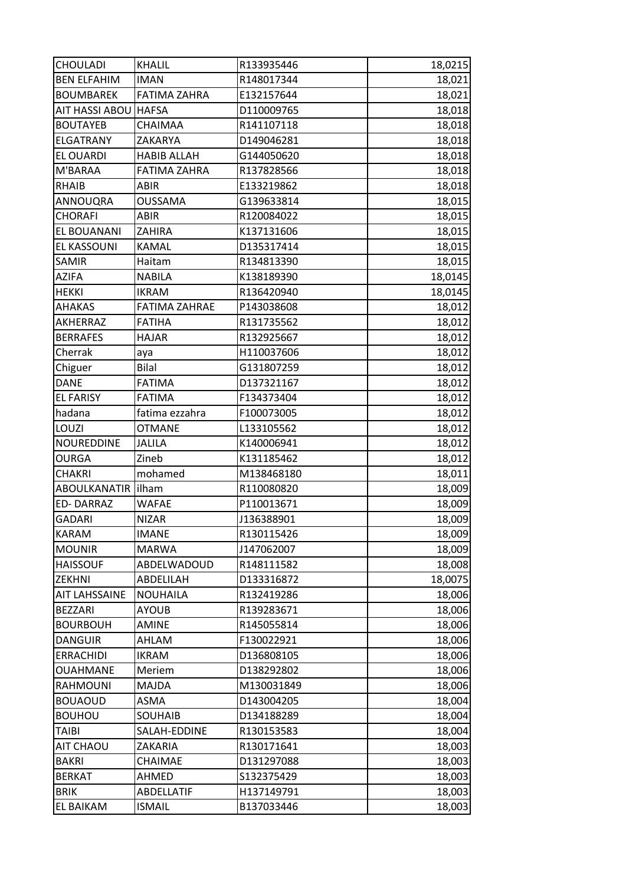| <b>CHOULADI</b>      | <b>KHALIL</b>        | R133935446 | 18,0215 |
|----------------------|----------------------|------------|---------|
| <b>BEN ELFAHIM</b>   | <b>IMAN</b>          | R148017344 | 18,021  |
| <b>BOUMBAREK</b>     | <b>FATIMA ZAHRA</b>  | E132157644 | 18,021  |
| AIT HASSI ABOU HAFSA |                      | D110009765 | 18,018  |
| <b>BOUTAYEB</b>      | CHAIMAA              | R141107118 | 18,018  |
| <b>ELGATRANY</b>     | ZAKARYA              | D149046281 | 18,018  |
| EL OUARDI            | <b>HABIB ALLAH</b>   | G144050620 | 18,018  |
| M'BARAA              | <b>FATIMA ZAHRA</b>  | R137828566 | 18,018  |
| <b>RHAIB</b>         | <b>ABIR</b>          | E133219862 | 18,018  |
| ANNOUQRA             | <b>OUSSAMA</b>       | G139633814 | 18,015  |
| <b>CHORAFI</b>       | <b>ABIR</b>          | R120084022 | 18,015  |
| EL BOUANANI          | ZAHIRA               | K137131606 | 18,015  |
| EL KASSOUNI          | KAMAL                | D135317414 | 18,015  |
| SAMIR                | Haitam               | R134813390 | 18,015  |
| <b>AZIFA</b>         | <b>NABILA</b>        | K138189390 | 18,0145 |
| <b>HEKKI</b>         | <b>IKRAM</b>         | R136420940 | 18,0145 |
| <b>AHAKAS</b>        | <b>FATIMA ZAHRAE</b> | P143038608 | 18,012  |
| AKHERRAZ             | <b>FATIHA</b>        | R131735562 | 18,012  |
| <b>BERRAFES</b>      | <b>HAJAR</b>         | R132925667 | 18,012  |
| Cherrak              | ауа                  | H110037606 | 18,012  |
| Chiguer              | <b>Bilal</b>         | G131807259 | 18,012  |
| <b>DANE</b>          | <b>FATIMA</b>        | D137321167 | 18,012  |
| <b>EL FARISY</b>     | <b>FATIMA</b>        | F134373404 | 18,012  |
| hadana               | fatima ezzahra       | F100073005 | 18,012  |
| LOUZI                | <b>OTMANE</b>        | L133105562 | 18,012  |
| NOUREDDINE           | JALILA               | K140006941 | 18,012  |
| OURGA                | Zineb                | K131185462 | 18,012  |
| <b>CHAKRI</b>        | mohamed              | M138468180 | 18,011  |
| ABOULKANATIR lilham  |                      | R110080820 | 18,009  |
| ED-DARRAZ            | <b>WAFAE</b>         | P110013671 | 18,009  |
| <b>GADARI</b>        | <b>NIZAR</b>         | J136388901 | 18,009  |
| <b>KARAM</b>         | <b>IMANE</b>         | R130115426 | 18,009  |
| <b>MOUNIR</b>        | <b>MARWA</b>         | J147062007 | 18,009  |
| <b>HAISSOUF</b>      | ABDELWADOUD          | R148111582 | 18,008  |
| <b>ZEKHNI</b>        | ABDELILAH            | D133316872 | 18,0075 |
| <b>AIT LAHSSAINE</b> | <b>NOUHAILA</b>      | R132419286 | 18,006  |
| <b>BEZZARI</b>       | <b>AYOUB</b>         | R139283671 | 18,006  |
| <b>BOURBOUH</b>      | <b>AMINE</b>         | R145055814 | 18,006  |
| <b>DANGUIR</b>       | AHLAM                | F130022921 | 18,006  |
| ERRACHIDI            | IKRAM                | D136808105 | 18,006  |
| <b>OUAHMANE</b>      | Meriem               | D138292802 | 18,006  |
| <b>RAHMOUNI</b>      | MAJDA                | M130031849 | 18,006  |
| <b>BOUAOUD</b>       | ASMA                 | D143004205 | 18,004  |
| <b>BOUHOU</b>        | SOUHAIB              | D134188289 | 18,004  |
| TAIBI                | SALAH-EDDINE         | R130153583 | 18,004  |
| AIT CHAOU            | ZAKARIA              | R130171641 | 18,003  |
| <b>BAKRI</b>         | CHAIMAE              | D131297088 | 18,003  |
| <b>BERKAT</b>        | AHMED                | S132375429 | 18,003  |
| <b>BRIK</b>          | ABDELLATIF           | H137149791 | 18,003  |
| EL BAIKAM            | <b>ISMAIL</b>        | B137033446 | 18,003  |